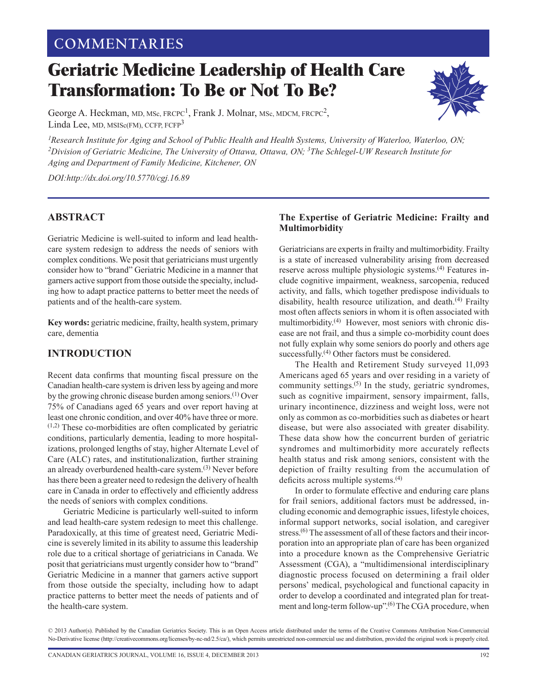# **COMMENTARIES**

# **Geriatric Medicine Leadership of Health Care Transformation: To Be or Not To Be?**



George A. Heckman, MD, MSc, FRCPC<sup>1</sup>, Frank J. Molnar, MSc, MDCM, FRCPC<sup>2</sup>, Linda Lee, MD, MSISc(FM), CCFP, FCFP<sup>3</sup>

<sup>1</sup> Research Institute for Aging and School of Public Health and Health Systems, University of Waterloo, Waterloo, ON; *2Division of Geriatric Medicine, The University of Ottawa, Ottawa, ON; 3The Schlegel-UW Research Institute for Aging and Department of Family Medicine, Kitchener, ON*

*DOI:http://dx.doi.org/10.5770/cgj.16.89*

# **ABSTRACT**

Geriatric Medicine is well-suited to inform and lead healthcare system redesign to address the needs of seniors with complex conditions. We posit that geriatricians must urgently consider how to "brand" Geriatric Medicine in a manner that garners active support from those outside the specialty, including how to adapt practice patterns to better meet the needs of patients and of the health-care system.

**Key words:** geriatric medicine, frailty, health system, primary care, dementia

# **INTRODUCTION**

Recent data confirms that mounting fiscal pressure on the Canadian health-care system is driven less by ageing and more by the growing chronic disease burden among seniors.(1) Over 75% of Canadians aged 65 years and over report having at least one chronic condition, and over 40% have three or more.  $(1,2)$  These co-morbidities are often complicated by geriatric conditions, particularly dementia, leading to more hospitalizations, prolonged lengths of stay, higher Alternate Level of Care (ALC) rates, and institutionalization, further straining an already overburdened health-care system.<sup>(3)</sup> Never before has there been a greater need to redesign the delivery of health care in Canada in order to effectively and efficiently address the needs of seniors with complex conditions.

Geriatric Medicine is particularly well-suited to inform and lead health-care system redesign to meet this challenge. Paradoxically, at this time of greatest need, Geriatric Medicine is severely limited in its ability to assume this leadership role due to a critical shortage of geriatricians in Canada. We posit that geriatricians must urgently consider how to "brand" Geriatric Medicine in a manner that garners active support from those outside the specialty, including how to adapt practice patterns to better meet the needs of patients and of the health-care system.

#### **The Expertise of Geriatric Medicine: Frailty and Multimorbidity**

Geriatricians are experts in frailty and multimorbidity. Frailty is a state of increased vulnerability arising from decreased reserve across multiple physiologic systems.<sup>(4)</sup> Features include cognitive impairment, weakness, sarcopenia, reduced activity, and falls, which together predispose individuals to disability, health resource utilization, and death.<sup>(4)</sup> Frailty most often affects seniors in whom it is often associated with multimorbidity.<sup>(4)</sup> However, most seniors with chronic disease are not frail, and thus a simple co-morbidity count does not fully explain why some seniors do poorly and others age successfully.<sup>(4)</sup> Other factors must be considered.

The Health and Retirement Study surveyed 11,093 Americans aged 65 years and over residing in a variety of community settings. $(5)$  In the study, geriatric syndromes, such as cognitive impairment, sensory impairment, falls, urinary incontinence, dizziness and weight loss, were not only as common as co-morbidities such as diabetes or heart disease, but were also associated with greater disability. These data show how the concurrent burden of geriatric syndromes and multimorbidity more accurately reflects health status and risk among seniors, consistent with the depiction of frailty resulting from the accumulation of deficits across multiple systems.(4)

In order to formulate effective and enduring care plans for frail seniors, additional factors must be addressed, including economic and demographic issues, lifestyle choices, informal support networks, social isolation, and caregiver stress.<sup>(6)</sup> The assessment of all of these factors and their incorporation into an appropriate plan of care has been organized into a procedure known as the Comprehensive Geriatric Assessment (CGA), a "multidimensional interdisciplinary diagnostic process focused on determining a frail older persons' medical, psychological and functional capacity in order to develop a coordinated and integrated plan for treatment and long-term follow-up".<sup>(6)</sup> The CGA procedure, when

<sup>© 2013</sup> Author(s). Published by the Canadian Geriatrics Society. This is an Open Access article distributed under the terms of the Creative Commons Attribution Non-Commercial No-Derivative license ([http://creativecommons.org/licenses/by-nc-nd/2.5/ca/](http://creativecommons.org/licenses/by-nc-nd/2.5/ca)), which permits unrestricted non-commercial use and distribution, provided the original work is properly cited.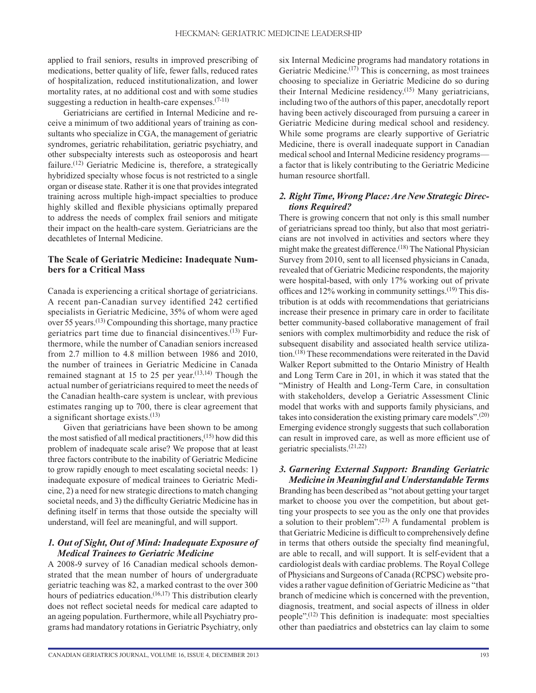applied to frail seniors, results in improved prescribing of medications, better quality of life, fewer falls, reduced rates of hospitalization, reduced institutionalization, and lower mortality rates, at no additional cost and with some studies suggesting a reduction in health-care expenses. $(7-11)$ 

Geriatricians are certified in Internal Medicine and receive a minimum of two additional years of training as consultants who specialize in CGA, the management of geriatric syndromes, geriatric rehabilitation, geriatric psychiatry, and other subspecialty interests such as osteoporosis and heart failure.<sup> $(12)$ </sup> Geriatric Medicine is, therefore, a strategically hybridized specialty whose focus is not restricted to a single organ or disease state. Rather it is one that provides integrated training across multiple high-impact specialties to produce highly skilled and flexible physicians optimally prepared to address the needs of complex frail seniors and mitigate their impact on the health-care system. Geriatricians are the decathletes of Internal Medicine.

#### **The Scale of Geriatric Medicine: Inadequate Numbers for a Critical Mass**

Canada is experiencing a critical shortage of geriatricians. A recent pan-Canadian survey identified 242 certified specialists in Geriatric Medicine, 35% of whom were aged over 55 years.(13) Compounding this shortage, many practice geriatrics part time due to financial disincentives. $(13)$  Furthermore, while the number of Canadian seniors increased from 2.7 million to 4.8 million between 1986 and 2010, the number of trainees in Geriatric Medicine in Canada remained stagnant at 15 to 25 per year. $(13,14)$  Though the actual number of geriatricians required to meet the needs of the Canadian health-care system is unclear, with previous estimates ranging up to 700, there is clear agreement that a significant shortage exists.(13)

Given that geriatricians have been shown to be among the most satisfied of all medical practitioners,(15) how did this problem of inadequate scale arise? We propose that at least three factors contribute to the inability of Geriatric Medicine to grow rapidly enough to meet escalating societal needs: 1) inadequate exposure of medical trainees to Geriatric Medicine, 2) a need for new strategic directions to match changing societal needs, and 3) the difficulty Geriatric Medicine has in defining itself in terms that those outside the specialty will understand, will feel are meaningful, and will support.

#### *1. Out of Sight, Out of Mind: Inadequate Exposure of Medical Trainees to Geriatric Medicine*

A 2008-9 survey of 16 Canadian medical schools demonstrated that the mean number of hours of undergraduate geriatric teaching was 82, a marked contrast to the over 300 hours of pediatrics education.<sup>(16,17)</sup> This distribution clearly does not reflect societal needs for medical care adapted to an ageing population. Furthermore, while all Psychiatry programs had mandatory rotations in Geriatric Psychiatry, only six Internal Medicine programs had mandatory rotations in Geriatric Medicine.<sup>(17)</sup> This is concerning, as most trainees choosing to specialize in Geriatric Medicine do so during their Internal Medicine residency.<sup>(15)</sup> Many geriatricians, including two of the authors of this paper, anecdotally report having been actively discouraged from pursuing a career in Geriatric Medicine during medical school and residency. While some programs are clearly supportive of Geriatric Medicine, there is overall inadequate support in Canadian medical school and Internal Medicine residency programs a factor that is likely contributing to the Geriatric Medicine human resource shortfall.

#### *2. Right Time, Wrong Place: Are New Strategic Directions Required?*

There is growing concern that not only is this small number of geriatricians spread too thinly, but also that most geriatricians are not involved in activities and sectors where they might make the greatest difference.<sup>(18)</sup> The National Physician Survey from 2010, sent to all licensed physicians in Canada, revealed that of Geriatric Medicine respondents, the majority were hospital-based, with only 17% working out of private offices and  $12\%$  working in community settings.<sup>(19)</sup> This distribution is at odds with recommendations that geriatricians increase their presence in primary care in order to facilitate better community-based collaborative management of frail seniors with complex multimorbidity and reduce the risk of subsequent disability and associated health service utilization.(18) These recommendations were reiterated in the David Walker Report submitted to the Ontario Ministry of Health and Long Term Care in 201, in which it was stated that the "Ministry of Health and Long-Term Care, in consultation with stakeholders, develop a Geriatric Assessment Clinic model that works with and supports family physicians, and takes into consideration the existing primary care models".(20) Emerging evidence strongly suggests that such collaboration can result in improved care, as well as more efficient use of geriatric specialists.(21,22)

#### *3. Garnering External Support: Branding Geriatric Medicine in Meaningful and Understandable Terms*

Branding has been described as "not about getting your target market to choose you over the competition, but about getting your prospects to see you as the only one that provides a solution to their problem". $(23)$  A fundamental problem is that Geriatric Medicine is difficult to comprehensively define in terms that others outside the specialty find meaningful, are able to recall, and will support. It is self-evident that a cardiologist deals with cardiac problems. The Royal College of Physicians and Surgeons of Canada (RCPSC) website provides a rather vague definition of Geriatric Medicine as "that branch of medicine which is concerned with the prevention, diagnosis, treatment, and social aspects of illness in older people".(12) This definition is inadequate: most specialties other than paediatrics and obstetrics can lay claim to some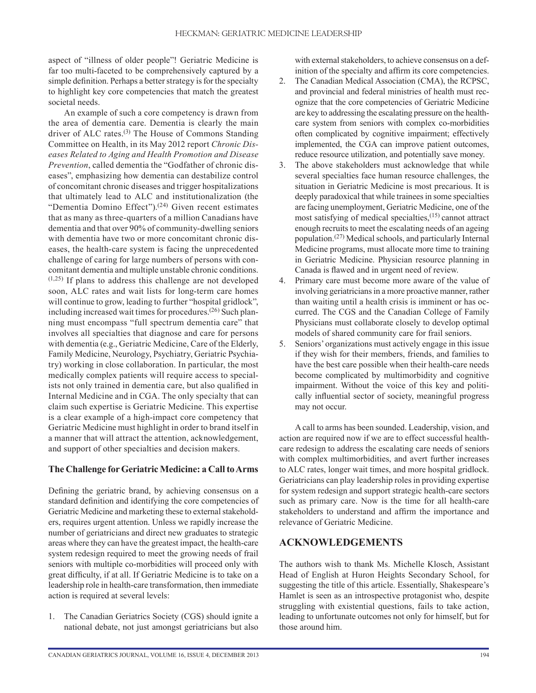aspect of "illness of older people"! Geriatric Medicine is far too multi-faceted to be comprehensively captured by a simple definition. Perhaps a better strategy is for the specialty to highlight key core competencies that match the greatest societal needs.

An example of such a core competency is drawn from the area of dementia care. Dementia is clearly the main driver of ALC rates. $(3)$  The House of Commons Standing Committee on Health, in its May 2012 report *Chronic Diseases Related to Aging and Health Promotion and Disease Prevention*, called dementia the "Godfather of chronic diseases", emphasizing how dementia can destabilize control of concomitant chronic diseases and trigger hospitalizations that ultimately lead to ALC and institutionalization (the "Dementia Domino Effect").<sup>(24)</sup> Given recent estimates that as many as three-quarters of a million Canadians have dementia and that over 90% of community-dwelling seniors with dementia have two or more concomitant chronic diseases, the health-care system is facing the unprecedented challenge of caring for large numbers of persons with concomitant dementia and multiple unstable chronic conditions.  $(1,25)$  If plans to address this challenge are not developed soon, ALC rates and wait lists for long-term care homes will continue to grow, leading to further "hospital gridlock", including increased wait times for procedures.<sup>(26)</sup> Such planning must encompass "full spectrum dementia care" that involves all specialties that diagnose and care for persons with dementia (e.g., Geriatric Medicine, Care of the Elderly, Family Medicine, Neurology, Psychiatry, Geriatric Psychiatry) working in close collaboration. In particular, the most medically complex patients will require access to specialists not only trained in dementia care, but also qualified in Internal Medicine and in CGA. The only specialty that can claim such expertise is Geriatric Medicine. This expertise is a clear example of a high-impact core competency that Geriatric Medicine must highlight in order to brand itself in a manner that will attract the attention, acknowledgement, and support of other specialties and decision makers.

#### **The Challenge for Geriatric Medicine: a Call to Arms**

Defining the geriatric brand, by achieving consensus on a standard definition and identifying the core competencies of Geriatric Medicine and marketing these to external stakeholders, requires urgent attention. Unless we rapidly increase the number of geriatricians and direct new graduates to strategic areas where they can have the greatest impact, the health-care system redesign required to meet the growing needs of frail seniors with multiple co-morbidities will proceed only with great difficulty, if at all. If Geriatric Medicine is to take on a leadership role in health-care transformation, then immediate action is required at several levels:

1. The Canadian Geriatrics Society (CGS) should ignite a national debate, not just amongst geriatricians but also with external stakeholders, to achieve consensus on a definition of the specialty and affirm its core competencies.

- 2. The Canadian Medical Association (CMA), the RCPSC, and provincial and federal ministries of health must recognize that the core competencies of Geriatric Medicine are key to addressing the escalating pressure on the healthcare system from seniors with complex co-morbidities often complicated by cognitive impairment; effectively implemented, the CGA can improve patient outcomes, reduce resource utilization, and potentially save money.
- 3. The above stakeholders must acknowledge that while several specialties face human resource challenges, the situation in Geriatric Medicine is most precarious. It is deeply paradoxical that while trainees in some specialties are facing unemployment, Geriatric Medicine, one of the most satisfying of medical specialties,(15) cannot attract enough recruits to meet the escalating needs of an ageing population.(27) Medical schools, and particularly Internal Medicine programs, must allocate more time to training in Geriatric Medicine. Physician resource planning in Canada is flawed and in urgent need of review.
- 4. Primary care must become more aware of the value of involving geriatricians in a more proactive manner, rather than waiting until a health crisis is imminent or has occurred. The CGS and the Canadian College of Family Physicians must collaborate closely to develop optimal models of shared community care for frail seniors.
- 5. Seniors' organizations must actively engage in this issue if they wish for their members, friends, and families to have the best care possible when their health-care needs become complicated by multimorbidity and cognitive impairment. Without the voice of this key and politically influential sector of society, meaningful progress may not occur.

A call to arms has been sounded. Leadership, vision, and action are required now if we are to effect successful healthcare redesign to address the escalating care needs of seniors with complex multimorbidities, and avert further increases to ALC rates, longer wait times, and more hospital gridlock. Geriatricians can play leadership roles in providing expertise for system redesign and support strategic health-care sectors such as primary care. Now is the time for all health-care stakeholders to understand and affirm the importance and relevance of Geriatric Medicine.

# **ACKNOWLEDGEMENTS**

The authors wish to thank Ms. Michelle Klosch, Assistant Head of English at Huron Heights Secondary School, for suggesting the title of this article. Essentially, Shakespeare's Hamlet is seen as an introspective protagonist who, despite struggling with existential questions, fails to take action, leading to unfortunate outcomes not only for himself, but for those around him.